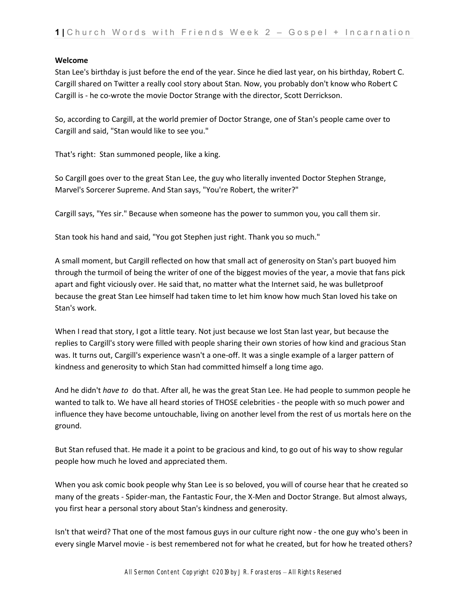#### **Welcome**

Stan Lee's birthday is just before the end of the year. Since he died last year, on his birthday, Robert C. Cargill shared on Twitter a really cool story about Stan. Now, you probably don't know who Robert C Cargill is - he co-wrote the movie Doctor Strange with the director, Scott Derrickson.

So, according to Cargill, at the world premier of Doctor Strange, one of Stan's people came over to Cargill and said, "Stan would like to see you."

That's right: Stan summoned people, like a king.

So Cargill goes over to the great Stan Lee, the guy who literally invented Doctor Stephen Strange, Marvel's Sorcerer Supreme. And Stan says, "You're Robert, the writer?"

Cargill says, "Yes sir." Because when someone has the power to summon you, you call them sir.

Stan took his hand and said, "You got Stephen just right. Thank you so much."

A small moment, but Cargill reflected on how that small act of generosity on Stan's part buoyed him through the turmoil of being the writer of one of the biggest movies of the year, a movie that fans pick apart and fight viciously over. He said that, no matter what the Internet said, he was bulletproof because the great Stan Lee himself had taken time to let him know how much Stan loved his take on Stan's work.

When I read that story, I got a little teary. Not just because we lost Stan last year, but because the replies to Cargill's story were filled with people sharing their own stories of how kind and gracious Stan was. It turns out, Cargill's experience wasn't a one-off. It was a single example of a larger pattern of kindness and generosity to which Stan had committed himself a long time ago.

And he didn't *have to* do that. After all, he was the great Stan Lee. He had people to summon people he wanted to talk to. We have all heard stories of THOSE celebrities - the people with so much power and influence they have become untouchable, living on another level from the rest of us mortals here on the ground.

But Stan refused that. He made it a point to be gracious and kind, to go out of his way to show regular people how much he loved and appreciated them.

When you ask comic book people why Stan Lee is so beloved, you will of course hear that he created so many of the greats - Spider-man, the Fantastic Four, the X-Men and Doctor Strange. But almost always, you first hear a personal story about Stan's kindness and generosity.

Isn't that weird? That one of the most famous guys in our culture right now - the one guy who's been in every single Marvel movie - is best remembered not for what he created, but for how he treated others?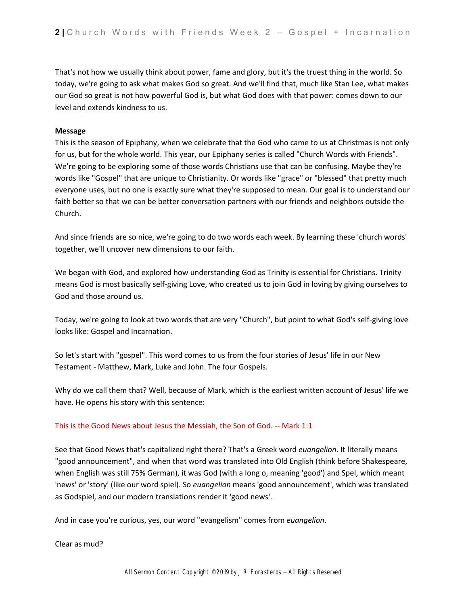That's not how we usually think about power, fame and glory, but it's the truest thing in the world. So today, we're going to ask what makes God so great. And we'll find that, much like Stan Lee, what makes our God so great is not how powerful God is, but what God does with that power: comes down to our level and extends kindness to us.

#### **Message**

This is the season of Epiphany, when we celebrate that the God who came to us at Christmas is not only for us, but for the whole world. This year, our Epiphany series is called "Church Words with Friends". We're going to be exploring some of those words Christians use that can be confusing. Maybe they're words like "Gospel" that are unique to Christianity. Or words like "grace" or "blessed" that pretty much everyone uses, but no one is exactly sure what they're supposed to mean. Our goal is to understand our faith better so that we can be better conversation partners with our friends and neighbors outside the Church.

And since friends are so nice, we're going to do two words each week. By learning these 'church words' together, we'll uncover new dimensions to our faith.

We began with God, and explored how understanding God as Trinity is essential for Christians. Trinity means God is most basically self-giving Love, who created us to join God in loving by giving ourselves to God and those around us.

Today, we're going to look at two words that are very "Church", but point to what God's self-giving love looks like: Gospel and Incarnation.

So let's start with "gospel". This word comes to us from the four stories of Jesus' life in our New Testament - Matthew, Mark, Luke and John. The four Gospels.

Why do we call them that? Well, because of Mark, which is the earliest written account of Jesus' life we have. He opens his story with this sentence:

## This is the Good News about Jesus the Messiah, the Son of God. -- Mark 1:1

See that Good News that's capitalized right there? That's a Greek word *euangelion*. It literally means "good announcement", and when that word was translated into Old English (think before Shakespeare, when English was still 75% German), it was God (with a long o, meaning 'good') and Spel, which meant 'news' or 'story' (like our word spiel). So *euangelion* means 'good announcement', which was translated as Godspiel, and our modern translations render it 'good news'.

And in case you're curious, yes, our word "evangelism" comes from *euangelion*.

Clear as mud?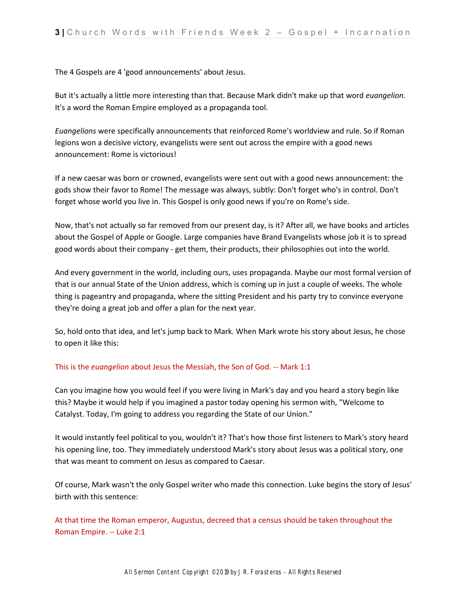The 4 Gospels are 4 'good announcements' about Jesus.

But it's actually a little more interesting than that. Because Mark didn't make up that word *euangelion*. It's a word the Roman Empire employed as a propaganda tool.

*Euangelions* were specifically announcements that reinforced Rome's worldview and rule. So if Roman legions won a decisive victory, evangelists were sent out across the empire with a good news announcement: Rome is victorious!

If a new caesar was born or crowned, evangelists were sent out with a good news announcement: the gods show their favor to Rome! The message was always, subtly: Don't forget who's in control. Don't forget whose world you live in. This Gospel is only good news if you're on Rome's side.

Now, that's not actually so far removed from our present day, is it? After all, we have books and articles about the Gospel of Apple or Google. Large companies have Brand Evangelists whose job it is to spread good words about their company - get them, their products, their philosophies out into the world.

And every government in the world, including ours, uses propaganda. Maybe our most formal version of that is our annual State of the Union address, which is coming up in just a couple of weeks. The whole thing is pageantry and propaganda, where the sitting President and his party try to convince everyone they're doing a great job and offer a plan for the next year.

So, hold onto that idea, and let's jump back to Mark. When Mark wrote his story about Jesus, he chose to open it like this:

## This is the *euangelion* about Jesus the Messiah, the Son of God. -- Mark 1:1

Can you imagine how you would feel if you were living in Mark's day and you heard a story begin like this? Maybe it would help if you imagined a pastor today opening his sermon with, "Welcome to Catalyst. Today, I'm going to address you regarding the State of our Union."

It would instantly feel political to you, wouldn't it? That's how those first listeners to Mark's story heard his opening line, too. They immediately understood Mark's story about Jesus was a political story, one that was meant to comment on Jesus as compared to Caesar.

Of course, Mark wasn't the only Gospel writer who made this connection. Luke begins the story of Jesus' birth with this sentence:

At that time the Roman emperor, Augustus, decreed that a census should be taken throughout the Roman Empire. -- Luke 2:1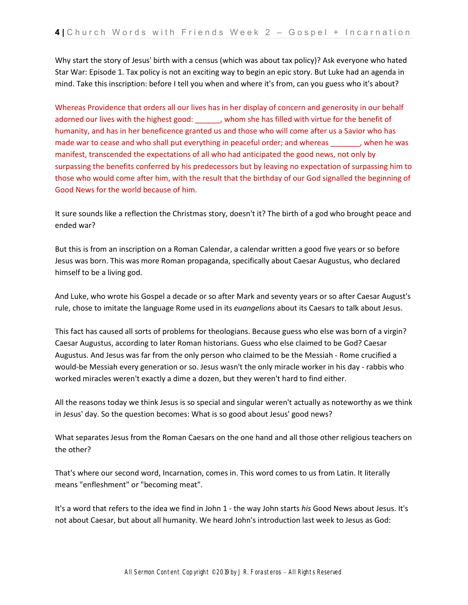Why start the story of Jesus' birth with a census (which was about tax policy)? Ask everyone who hated Star War: Episode 1. Tax policy is not an exciting way to begin an epic story. But Luke had an agenda in mind. Take this inscription: before I tell you when and where it's from, can you guess who it's about?

Whereas Providence that orders all our lives has in her display of concern and generosity in our behalf adorned our lives with the highest good: \_\_\_\_\_\_, whom she has filled with virtue for the benefit of humanity, and has in her beneficence granted us and those who will come after us a Savior who has made war to cease and who shall put everything in peaceful order; and whereas extending when he was manifest, transcended the expectations of all who had anticipated the good news, not only by surpassing the benefits conferred by his predecessors but by leaving no expectation of surpassing him to those who would come after him, with the result that the birthday of our God signalled the beginning of Good News for the world because of him.

It sure sounds like a reflection the Christmas story, doesn't it? The birth of a god who brought peace and ended war?

But this is from an inscription on a Roman Calendar, a calendar written a good five years or so before Jesus was born. This was more Roman propaganda, specifically about Caesar Augustus, who declared himself to be a living god.

And Luke, who wrote his Gospel a decade or so after Mark and seventy years or so after Caesar August's rule, chose to imitate the language Rome used in its *euangelions* about its Caesars to talk about Jesus.

This fact has caused all sorts of problems for theologians. Because guess who else was born of a virgin? Caesar Augustus, according to later Roman historians. Guess who else claimed to be God? Caesar Augustus. And Jesus was far from the only person who claimed to be the Messiah - Rome crucified a would-be Messiah every generation or so. Jesus wasn't the only miracle worker in his day - rabbis who worked miracles weren't exactly a dime a dozen, but they weren't hard to find either.

All the reasons today we think Jesus is so special and singular weren't actually as noteworthy as we think in Jesus' day. So the question becomes: What is so good about Jesus' good news?

What separates Jesus from the Roman Caesars on the one hand and all those other religious teachers on the other?

That's where our second word, Incarnation, comes in. This word comes to us from Latin. It literally means "enfleshment" or "becoming meat".

It's a word that refers to the idea we find in John 1 - the way John starts *his* Good News about Jesus. It's not about Caesar, but about all humanity. We heard John's introduction last week to Jesus as God: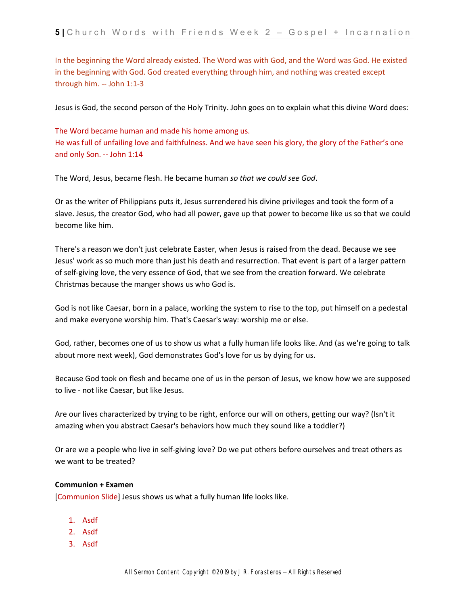In the beginning the Word already existed. The Word was with God, and the Word was God. He existed in the beginning with God. God created everything through him, and nothing was created except through him. -- John 1:1-3

Jesus is God, the second person of the Holy Trinity. John goes on to explain what this divine Word does:

The Word became human and made his home among us. He was full of unfailing love and faithfulness. And we have seen his glory, the glory of the Father's one and only Son. -- John 1:14

The Word, Jesus, became flesh. He became human *so that we could see God*.

Or as the writer of Philippians puts it, Jesus surrendered his divine privileges and took the form of a slave. Jesus, the creator God, who had all power, gave up that power to become like us so that we could become like him.

There's a reason we don't just celebrate Easter, when Jesus is raised from the dead. Because we see Jesus' work as so much more than just his death and resurrection. That event is part of a larger pattern of self-giving love, the very essence of God, that we see from the creation forward. We celebrate Christmas because the manger shows us who God is.

God is not like Caesar, born in a palace, working the system to rise to the top, put himself on a pedestal and make everyone worship him. That's Caesar's way: worship me or else.

God, rather, becomes one of us to show us what a fully human life looks like. And (as we're going to talk about more next week), God demonstrates God's love for us by dying for us.

Because God took on flesh and became one of us in the person of Jesus, we know how we are supposed to live - not like Caesar, but like Jesus.

Are our lives characterized by trying to be right, enforce our will on others, getting our way? (Isn't it amazing when you abstract Caesar's behaviors how much they sound like a toddler?)

Or are we a people who live in self-giving love? Do we put others before ourselves and treat others as we want to be treated?

## **Communion + Examen**

[Communion Slide] Jesus shows us what a fully human life looks like.

- 1. Asdf
- 2. Asdf
- 3. Asdf